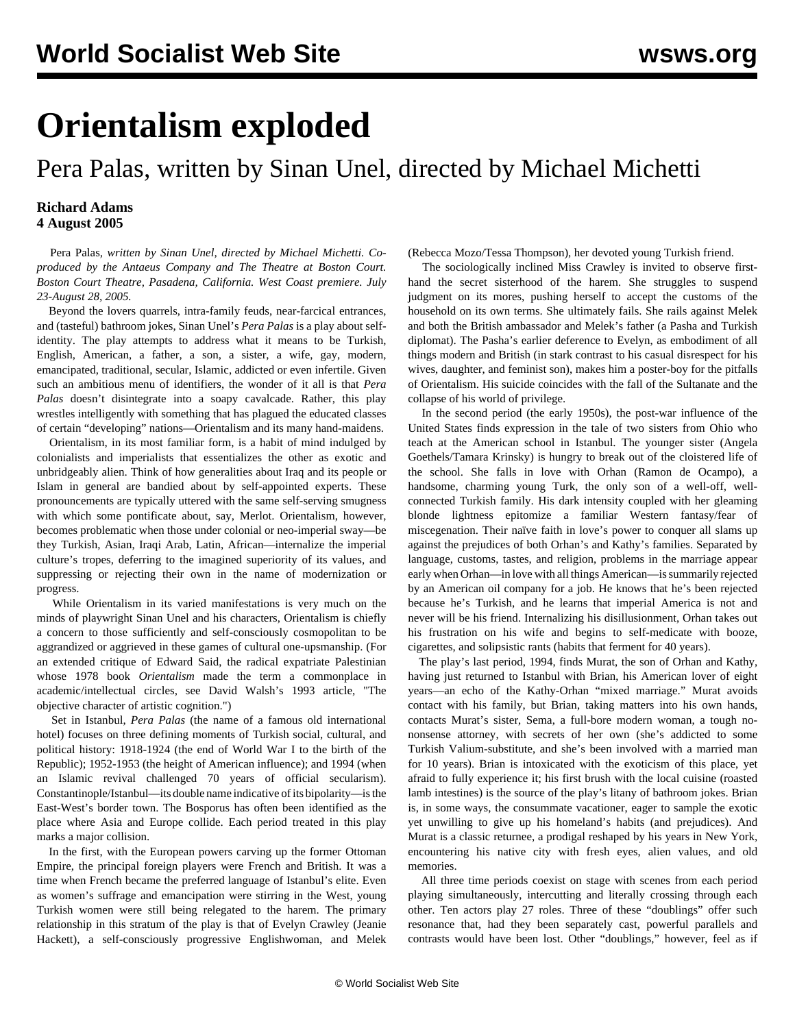## **Orientalism exploded**

## Pera Palas, written by Sinan Unel, directed by Michael Michetti

## **Richard Adams 4 August 2005**

 Pera Palas*, written by Sinan Unel, directed by Michael Michetti. Coproduced by the Antaeus Company and The Theatre at Boston Court. Boston Court Theatre, Pasadena, California. West Coast premiere. July 23-August 28, 2005.*

 Beyond the lovers quarrels, intra-family feuds, near-farcical entrances, and (tasteful) bathroom jokes, Sinan Unel's *Pera Palas* is a play about selfidentity. The play attempts to address what it means to be Turkish, English, American, a father, a son, a sister, a wife, gay, modern, emancipated, traditional, secular, Islamic, addicted or even infertile. Given such an ambitious menu of identifiers, the wonder of it all is that *Pera Palas* doesn't disintegrate into a soapy cavalcade. Rather, this play wrestles intelligently with something that has plagued the educated classes of certain "developing" nations—Orientalism and its many hand-maidens.

 Orientalism, in its most familiar form, is a habit of mind indulged by colonialists and imperialists that essentializes the other as exotic and unbridgeably alien. Think of how generalities about Iraq and its people or Islam in general are bandied about by self-appointed experts. These pronouncements are typically uttered with the same self-serving smugness with which some pontificate about, say, Merlot. Orientalism, however, becomes problematic when those under colonial or neo-imperial sway—be they Turkish, Asian, Iraqi Arab, Latin, African—internalize the imperial culture's tropes, deferring to the imagined superiority of its values, and suppressing or rejecting their own in the name of modernization or progress.

 While Orientalism in its varied manifestations is very much on the minds of playwright Sinan Unel and his characters, Orientalism is chiefly a concern to those sufficiently and self-consciously cosmopolitan to be aggrandized or aggrieved in these games of cultural one-upsmanship. (For an extended critique of Edward Said, the radical expatriate Palestinian whose 1978 book *Orientalism* made the term a commonplace in academic/intellectual circles, see David Walsh's 1993 article, "[The](/en/articles/1993/sep1993/said-s13.shtml) [objective character of artistic cognition](/en/articles/1993/sep1993/said-s13.shtml).")

 Set in Istanbul, *Pera Palas* (the name of a famous old international hotel) focuses on three defining moments of Turkish social, cultural, and political history: 1918-1924 (the end of World War I to the birth of the Republic); 1952-1953 (the height of American influence); and 1994 (when an Islamic revival challenged 70 years of official secularism). Constantinople/Istanbul—its double name indicative of its bipolarity—is the East-West's border town. The Bosporus has often been identified as the place where Asia and Europe collide. Each period treated in this play marks a major collision.

 In the first, with the European powers carving up the former Ottoman Empire, the principal foreign players were French and British. It was a time when French became the preferred language of Istanbul's elite. Even as women's suffrage and emancipation were stirring in the West, young Turkish women were still being relegated to the harem. The primary relationship in this stratum of the play is that of Evelyn Crawley (Jeanie Hackett), a self-consciously progressive Englishwoman, and Melek

(Rebecca Mozo/Tessa Thompson), her devoted young Turkish friend.

 The sociologically inclined Miss Crawley is invited to observe firsthand the secret sisterhood of the harem. She struggles to suspend judgment on its mores, pushing herself to accept the customs of the household on its own terms. She ultimately fails. She rails against Melek and both the British ambassador and Melek's father (a Pasha and Turkish diplomat). The Pasha's earlier deference to Evelyn, as embodiment of all things modern and British (in stark contrast to his casual disrespect for his wives, daughter, and feminist son), makes him a poster-boy for the pitfalls of Orientalism. His suicide coincides with the fall of the Sultanate and the collapse of his world of privilege.

 In the second period (the early 1950s), the post-war influence of the United States finds expression in the tale of two sisters from Ohio who teach at the American school in Istanbul. The younger sister (Angela Goethels/Tamara Krinsky) is hungry to break out of the cloistered life of the school. She falls in love with Orhan (Ramon de Ocampo), a handsome, charming young Turk, the only son of a well-off, wellconnected Turkish family. His dark intensity coupled with her gleaming blonde lightness epitomize a familiar Western fantasy/fear of miscegenation. Their naïve faith in love's power to conquer all slams up against the prejudices of both Orhan's and Kathy's families. Separated by language, customs, tastes, and religion, problems in the marriage appear early when Orhan—in love with all things American—is summarily rejected by an American oil company for a job. He knows that he's been rejected because he's Turkish, and he learns that imperial America is not and never will be his friend. Internalizing his disillusionment, Orhan takes out his frustration on his wife and begins to self-medicate with booze, cigarettes, and solipsistic rants (habits that ferment for 40 years).

 The play's last period, 1994, finds Murat, the son of Orhan and Kathy, having just returned to Istanbul with Brian, his American lover of eight years—an echo of the Kathy-Orhan "mixed marriage." Murat avoids contact with his family, but Brian, taking matters into his own hands, contacts Murat's sister, Sema, a full-bore modern woman, a tough nononsense attorney, with secrets of her own (she's addicted to some Turkish Valium-substitute, and she's been involved with a married man for 10 years). Brian is intoxicated with the exoticism of this place, yet afraid to fully experience it; his first brush with the local cuisine (roasted lamb intestines) is the source of the play's litany of bathroom jokes. Brian is, in some ways, the consummate vacationer, eager to sample the exotic yet unwilling to give up his homeland's habits (and prejudices). And Murat is a classic returnee, a prodigal reshaped by his years in New York, encountering his native city with fresh eyes, alien values, and old memories.

 All three time periods coexist on stage with scenes from each period playing simultaneously, intercutting and literally crossing through each other. Ten actors play 27 roles. Three of these "doublings" offer such resonance that, had they been separately cast, powerful parallels and contrasts would have been lost. Other "doublings," however, feel as if